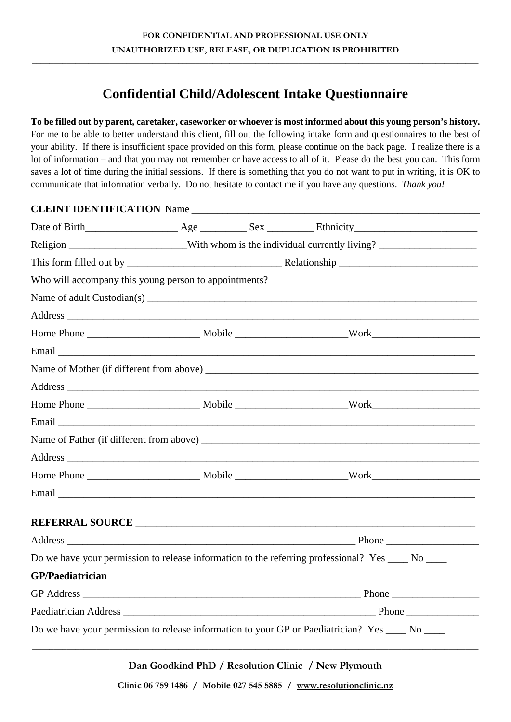\_\_\_\_\_\_\_\_\_\_\_\_\_\_\_\_\_\_\_\_\_\_\_\_\_\_\_\_\_\_\_\_\_\_\_\_\_\_\_\_\_\_\_\_\_\_\_\_\_\_\_\_\_\_\_\_\_\_\_\_\_\_\_\_\_\_\_\_\_\_\_\_\_\_\_\_\_\_\_\_\_\_\_\_\_\_\_\_\_\_\_\_\_\_\_\_\_\_\_\_\_\_\_\_

## **Confidential Child/Adolescent Intake Questionnaire**

## **To be filled out by parent, caretaker, caseworker or whoever is most informed about this young person's history.**

For me to be able to better understand this client, fill out the following intake form and questionnaires to the best of your ability. If there is insufficient space provided on this form, please continue on the back page. I realize there is a lot of information – and that you may not remember or have access to all of it. Please do the best you can. This form saves a lot of time during the initial sessions. If there is something that you do not want to put in writing, it is OK to communicate that information verbally. Do not hesitate to contact me if you have any questions. *Thank you!*

| CLEINT IDENTIFICATION Name |                                                                                                     |  |                                                                                                   |  |  |
|----------------------------|-----------------------------------------------------------------------------------------------------|--|---------------------------------------------------------------------------------------------------|--|--|
|                            |                                                                                                     |  |                                                                                                   |  |  |
|                            | Religion ________________________With whom is the individual currently living? ____________________ |  |                                                                                                   |  |  |
|                            |                                                                                                     |  |                                                                                                   |  |  |
|                            |                                                                                                     |  |                                                                                                   |  |  |
|                            |                                                                                                     |  |                                                                                                   |  |  |
|                            |                                                                                                     |  |                                                                                                   |  |  |
|                            |                                                                                                     |  |                                                                                                   |  |  |
|                            |                                                                                                     |  |                                                                                                   |  |  |
|                            |                                                                                                     |  |                                                                                                   |  |  |
|                            |                                                                                                     |  |                                                                                                   |  |  |
|                            |                                                                                                     |  |                                                                                                   |  |  |
|                            |                                                                                                     |  |                                                                                                   |  |  |
|                            |                                                                                                     |  |                                                                                                   |  |  |
|                            |                                                                                                     |  |                                                                                                   |  |  |
|                            |                                                                                                     |  |                                                                                                   |  |  |
|                            |                                                                                                     |  |                                                                                                   |  |  |
|                            |                                                                                                     |  |                                                                                                   |  |  |
|                            |                                                                                                     |  |                                                                                                   |  |  |
|                            |                                                                                                     |  | Do we have your permission to release information to the referring professional? Yes ____ No ____ |  |  |
|                            |                                                                                                     |  |                                                                                                   |  |  |
|                            |                                                                                                     |  |                                                                                                   |  |  |
|                            |                                                                                                     |  |                                                                                                   |  |  |
|                            |                                                                                                     |  | Do we have your permission to release information to your GP or Paediatrician? Yes ____ No ____   |  |  |

**Dan Goodkind PhD / Resolution Clinic / New Plymouth**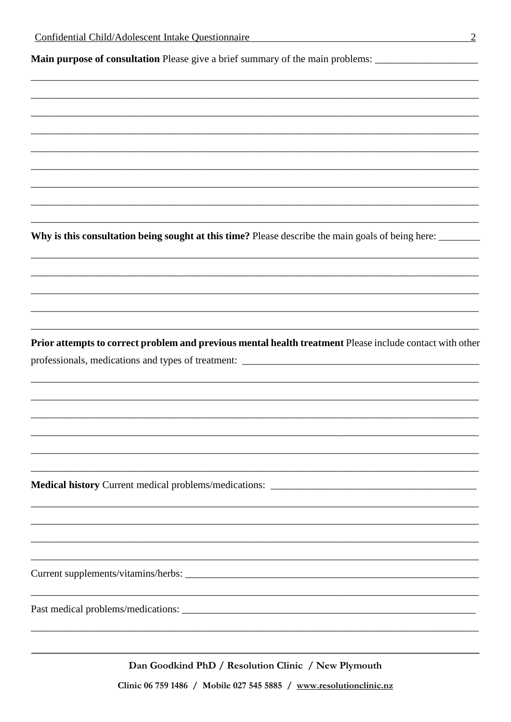Main purpose of consultation Please give a brief summary of the main problems:

Why is this consultation being sought at this time? Please describe the main goals of being here:

Prior attempts to correct problem and previous mental health treatment Please include contact with other professionals, medications and types of treatment:

Medical history Current medical problems/medications:

Dan Goodkind PhD / Resolution Clinic / New Plymouth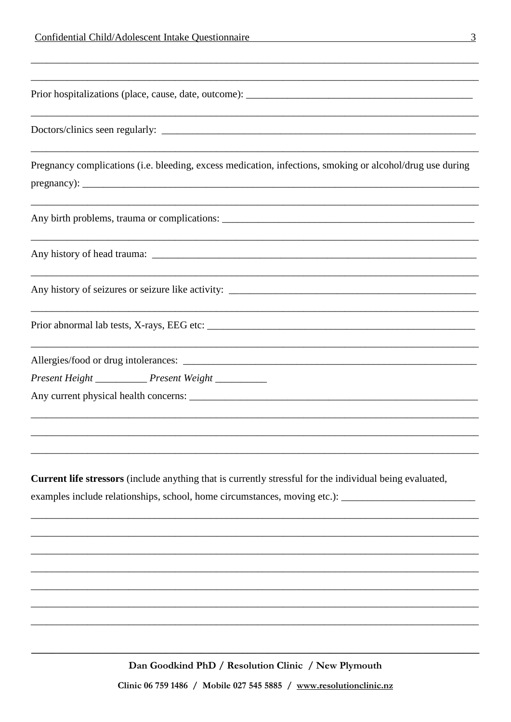| Pregnancy complications (i.e. bleeding, excess medication, infections, smoking or alcohol/drug use during |
|-----------------------------------------------------------------------------------------------------------|
|                                                                                                           |
|                                                                                                           |
|                                                                                                           |
|                                                                                                           |
|                                                                                                           |
|                                                                                                           |
|                                                                                                           |
|                                                                                                           |
|                                                                                                           |
| Present Height _______________ Present Weight ____________                                                |
|                                                                                                           |
|                                                                                                           |
|                                                                                                           |
|                                                                                                           |
|                                                                                                           |
| Current life stressors (include anything that is currently stressful for the individual being evaluated,  |
| examples include relationships, school, home circumstances, moving etc.): __________________________      |
|                                                                                                           |
|                                                                                                           |
|                                                                                                           |
|                                                                                                           |
|                                                                                                           |
|                                                                                                           |

Dan Goodkind PhD / Resolution Clinic / New Plymouth

Clinic 06 759 1486 / Mobile 027 545 5885 / www.resolutionclinic.nz

 $\overline{3}$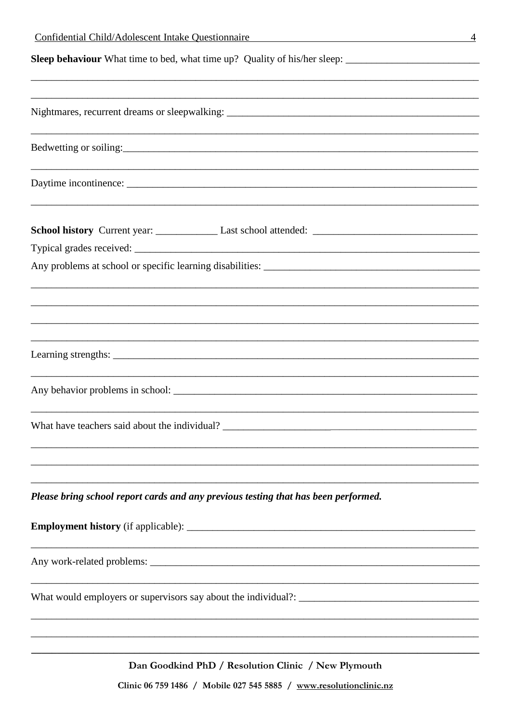| Confidential Child/Adolescent Intake Questionnaire<br>4                            |
|------------------------------------------------------------------------------------|
|                                                                                    |
|                                                                                    |
|                                                                                    |
|                                                                                    |
|                                                                                    |
|                                                                                    |
|                                                                                    |
|                                                                                    |
|                                                                                    |
|                                                                                    |
| Please bring school report cards and any previous testing that has been performed. |
|                                                                                    |
|                                                                                    |
|                                                                                    |
| ,我们也不能在这里的时候,我们也不能在这里的时候,我们也不能会在这里,我们也不能会在这里的时候,我们也不能会在这里的时候,我们也不能会在这里的时候,我们也不能会   |

Dan Goodkind PhD / Resolution Clinic / New Plymouth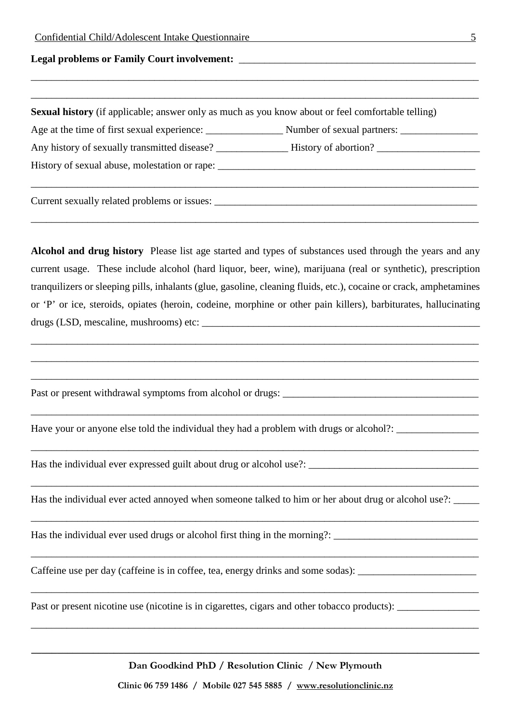| Confidential Child/Adolescent Intake Questionnaire<br><u> 1980 - Johann Barn, fransk politik (f. 1980)</u>         |
|--------------------------------------------------------------------------------------------------------------------|
|                                                                                                                    |
|                                                                                                                    |
| Sexual history (if applicable; answer only as much as you know about or feel comfortable telling)                  |
|                                                                                                                    |
| Any history of sexually transmitted disease? ____________________History of abortion? ________________________     |
| History of sexual abuse, molestation or rape: ___________________________________                                  |
|                                                                                                                    |
| Alcohol and drug history Please list age started and types of substances used through the years and any            |
| current usage. These include alcohol (hard liquor, beer, wine), marijuana (real or synthetic), prescription        |
| tranquilizers or sleeping pills, inhalants (glue, gasoline, cleaning fluids, etc.), cocaine or crack, amphetamines |
| or 'P' or ice, steroids, opiates (heroin, codeine, morphine or other pain killers), barbiturates, hallucinating    |
|                                                                                                                    |
|                                                                                                                    |
| Have your or anyone else told the individual they had a problem with drugs or alcohol?: ___________                |
| Has the individual ever expressed guilt about drug or alcohol use?:                                                |

Has the individual ever acted annoyed when someone talked to him or her about drug or alcohol use?: \_\_\_\_\_

\_\_\_\_\_\_\_\_\_\_\_\_\_\_\_\_\_\_\_\_\_\_\_\_\_\_\_\_\_\_\_\_\_\_\_\_\_\_\_\_\_\_\_\_\_\_\_\_\_\_\_\_\_\_\_\_\_\_\_\_\_\_\_\_\_\_\_\_\_\_\_\_\_\_\_\_\_\_\_\_\_\_\_\_\_\_\_

\_\_\_\_\_\_\_\_\_\_\_\_\_\_\_\_\_\_\_\_\_\_\_\_\_\_\_\_\_\_\_\_\_\_\_\_\_\_\_\_\_\_\_\_\_\_\_\_\_\_\_\_\_\_\_\_\_\_\_\_\_\_\_\_\_\_\_\_\_\_\_\_\_\_\_\_\_\_\_\_\_\_\_\_\_\_\_

\_\_\_\_\_\_\_\_\_\_\_\_\_\_\_\_\_\_\_\_\_\_\_\_\_\_\_\_\_\_\_\_\_\_\_\_\_\_\_\_\_\_\_\_\_\_\_\_\_\_\_\_\_\_\_\_\_\_\_\_\_\_\_\_\_\_\_\_\_\_\_\_\_\_\_\_\_\_\_\_\_\_\_\_\_\_\_

\_\_\_\_\_\_\_\_\_\_\_\_\_\_\_\_\_\_\_\_\_\_\_\_\_\_\_\_\_\_\_\_\_\_\_\_\_\_\_\_\_\_\_\_\_\_\_\_\_\_\_\_\_\_\_\_\_\_\_\_\_\_\_\_\_\_\_\_\_\_\_\_\_\_\_\_\_\_\_\_\_\_\_\_\_\_\_

\_\_\_\_\_\_\_\_\_\_\_\_\_\_\_\_\_\_\_\_\_\_\_\_\_\_\_\_\_\_\_\_\_\_\_\_\_\_\_\_\_\_\_\_\_\_\_\_\_\_\_\_\_\_\_\_\_\_\_\_\_\_\_\_\_\_\_\_\_\_\_\_\_\_\_\_\_\_\_\_\_\_\_\_\_\_\_

Has the individual ever used drugs or alcohol first thing in the morning?: \_\_\_\_\_\_\_\_\_\_\_\_\_\_\_\_\_\_\_\_\_\_\_\_\_\_\_\_\_\_\_\_\_\_\_

Caffeine use per day (caffeine is in coffee, tea, energy drinks and some sodas): \_\_\_\_\_\_\_\_\_\_\_\_\_\_\_\_\_\_\_\_\_\_\_\_\_\_\_\_\_

Past or present nicotine use (nicotine is in cigarettes, cigars and other tobacco products): \_\_\_\_\_\_\_\_\_\_\_\_\_\_\_\_\_

**\_\_\_\_\_\_\_\_\_\_\_\_\_\_\_\_\_\_\_\_\_\_\_\_\_\_\_\_\_\_\_\_\_\_\_\_\_\_\_\_\_\_\_\_\_\_\_\_\_\_\_\_\_\_\_\_\_\_\_\_\_\_\_\_\_\_\_\_\_\_\_\_\_\_\_\_\_\_\_\_\_\_\_\_\_\_\_ Dan Goodkind PhD / Resolution Clinic / New Plymouth**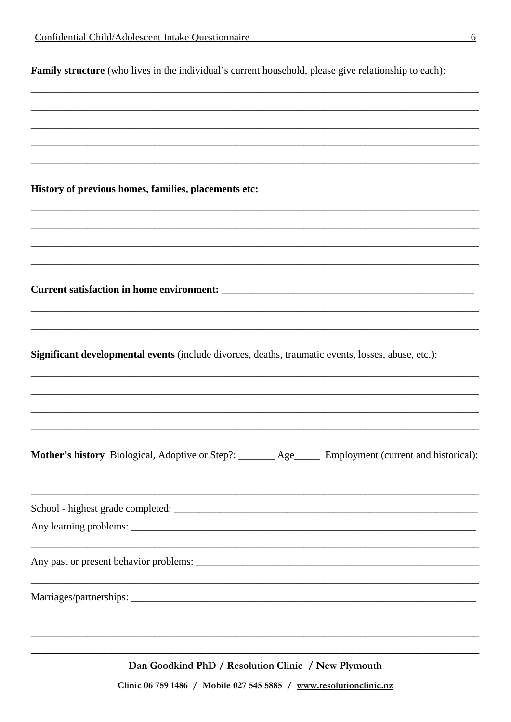| Family structure (who lives in the individual's current household, please give relationship to each): |  |  |  |  |  |  |
|-------------------------------------------------------------------------------------------------------|--|--|--|--|--|--|
|-------------------------------------------------------------------------------------------------------|--|--|--|--|--|--|

History of previous homes, families, placements etc: \_\_\_\_\_\_\_\_\_\_\_\_\_\_\_\_\_\_\_\_\_\_\_\_\_\_\_\_

Significant developmental events (include divorces, deaths, traumatic events, losses, abuse, etc.):

Mother's history Biological, Adoptive or Step?: \_\_\_\_\_\_\_ Age\_\_\_\_\_ Employment (current and historical):

Dan Goodkind PhD / Resolution Clinic / New Plymouth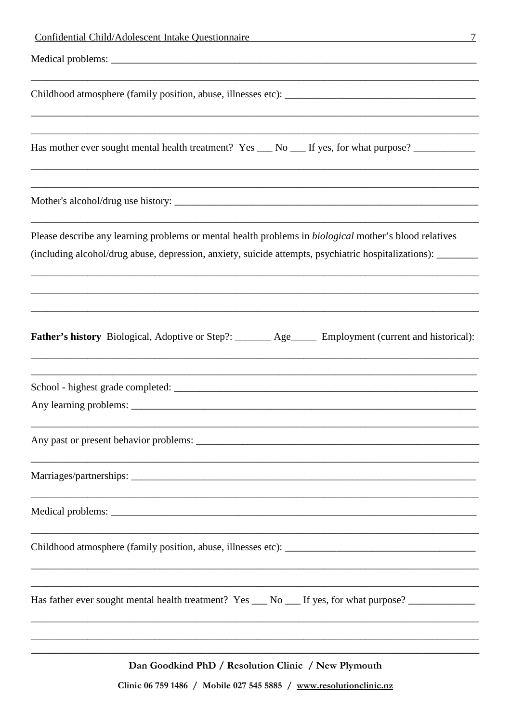| <b>Confidential Child/Adolescent Intake Questionnaire</b><br>7                                                                                                                                                                 |
|--------------------------------------------------------------------------------------------------------------------------------------------------------------------------------------------------------------------------------|
|                                                                                                                                                                                                                                |
|                                                                                                                                                                                                                                |
| Has mother ever sought mental health treatment? Yes __ No __ If yes, for what purpose? ___________                                                                                                                             |
|                                                                                                                                                                                                                                |
| Please describe any learning problems or mental health problems in <i>biological</i> mother's blood relatives<br>(including alcohol/drug abuse, depression, anxiety, suicide attempts, psychiatric hospitalizations): ________ |
| Father's history Biological, Adoptive or Step?: ______ Age____ Employment (current and historical):                                                                                                                            |
|                                                                                                                                                                                                                                |
|                                                                                                                                                                                                                                |
|                                                                                                                                                                                                                                |
|                                                                                                                                                                                                                                |
|                                                                                                                                                                                                                                |
| Has father ever sought mental health treatment? Yes __ No __ If yes, for what purpose? ____________                                                                                                                            |
| Dan Goodkind PhD / Resolution Clinic / New Plymouth                                                                                                                                                                            |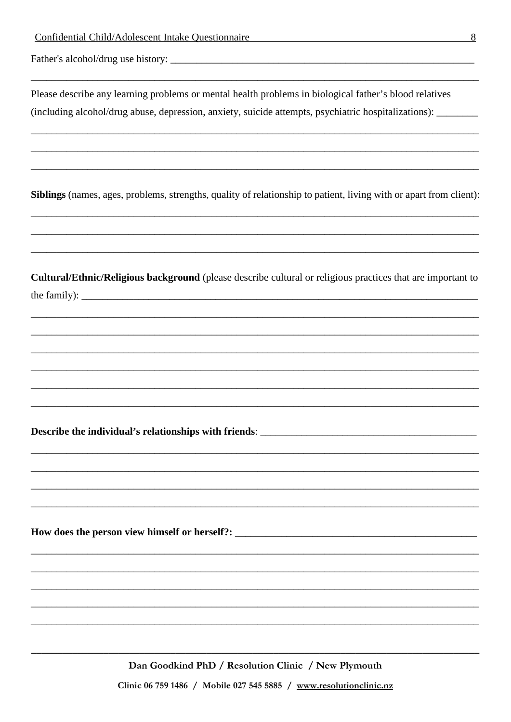Please describe any learning problems or mental health problems in biological father's blood relatives (including alcohol/drug abuse, depression, anxiety, suicide attempts, psychiatric hospitalizations):

Siblings (names, ages, problems, strengths, quality of relationship to patient, living with or apart from client):

Cultural/Ethnic/Religious background (please describe cultural or religious practices that are important to the family):

Describe the individual's relationships with friends:

How does the person view himself or herself?:

Dan Goodkind PhD / Resolution Clinic / New Plymouth